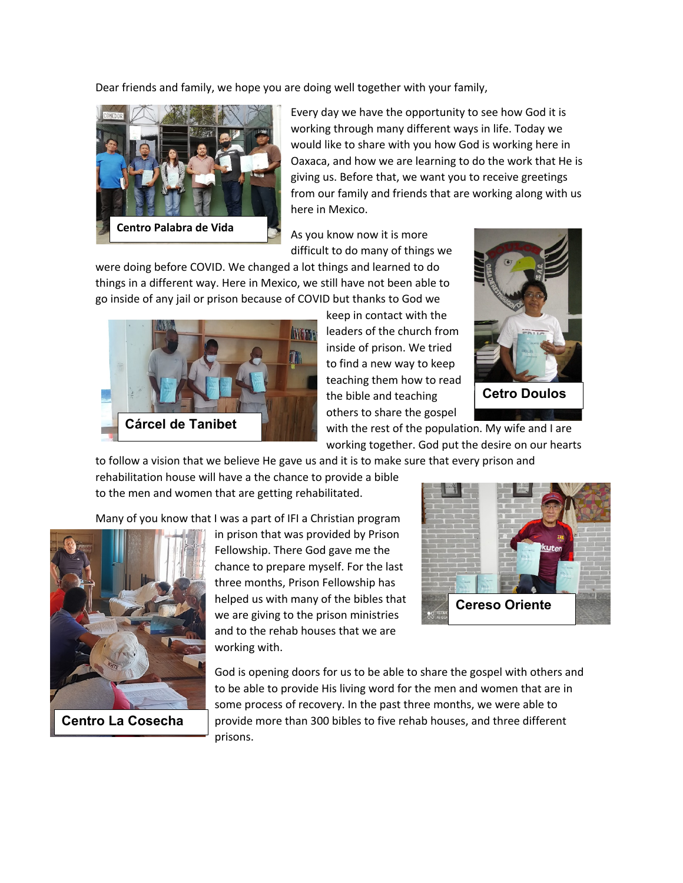Dear friends and family, we hope you are doing well together with your family,



Every day we have the opportunity to see how God it is working through many different ways in life. Today we would like to share with you how God is working here in Oaxaca, and how we are learning to do the work that He is giving us. Before that, we want you to receive greetings from our family and friends that are working along with us here in Mexico.

As you know now it is more difficult to do many of things we

were doing before COVID. We changed a lot things and learned to do things in a different way. Here in Mexico, we still have not been able to go inside of any jail or prison because of COVID but thanks to God we



keep in contact with the leaders of the church from inside of prison. We tried to find a new way to keep teaching them how to read the bible and teaching others to share the gospel



**Cetro Doulos**

with the rest of the population. My wife and I are working together. God put the desire on our hearts

to follow a vision that we believe He gave us and it is to make sure that every prison and rehabilitation house will have a the chance to provide a bible

to the men and women that are getting rehabilitated.

Many of you know that I was a part of IFI a Christian program



**Centro La Cosecha**

in prison that was provided by Prison Fellowship. There God gave me the chance to prepare myself. For the last three months, Prison Fellowship has helped us with many of the bibles that we are giving to the prison ministries and to the rehab houses that we are working with.



God is opening doors for us to be able to share the gospel with others and to be able to provide His living word for the men and women that are in some process of recovery. In the past three months, we were able to provide more than 300 bibles to five rehab houses, and three different prisons.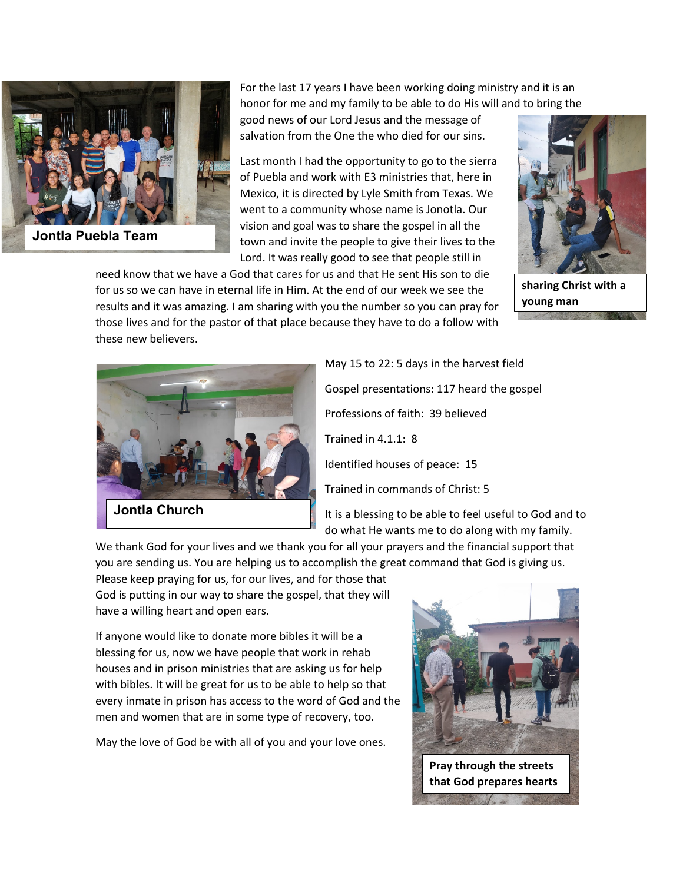

For the last 17 years I have been working doing ministry and it is an honor for me and my family to be able to do His will and to bring the

good news of our Lord Jesus and the message of salvation from the One the who died for our sins.

Last month I had the opportunity to go to the sierra of Puebla and work with E3 ministries that, here in Mexico, it is directed by Lyle Smith from Texas. We went to a community whose name is Jonotla. Our vision and goal was to share the gospel in all the town and invite the people to give their lives to the Lord. It was really good to see that people still in





**sharing Christ with a young man**



May 15 to 22: 5 days in the harvest field Gospel presentations: 117 heard the gospel Professions of faith: 39 believed Trained in 4.1.1: 8 Identified houses of peace: 15 Trained in commands of Christ: 5

It is a blessing to be able to feel useful to God and to do what He wants me to do along with my family.

We thank God for your lives and we thank you for all your prayers and the financial support that you are sending us. You are helping us to accomplish the great command that God is giving us.

Please keep praying for us, for our lives, and for those that God is putting in our way to share the gospel, that they will have a willing heart and open ears.

If anyone would like to donate more bibles it will be a blessing for us, now we have people that work in rehab houses and in prison ministries that are asking us for help with bibles. It will be great for us to be able to help so that every inmate in prison has access to the word of God and the men and women that are in some type of recovery, too.

May the love of God be with all of you and your love ones.



**Pray through the streets that God prepares hearts**